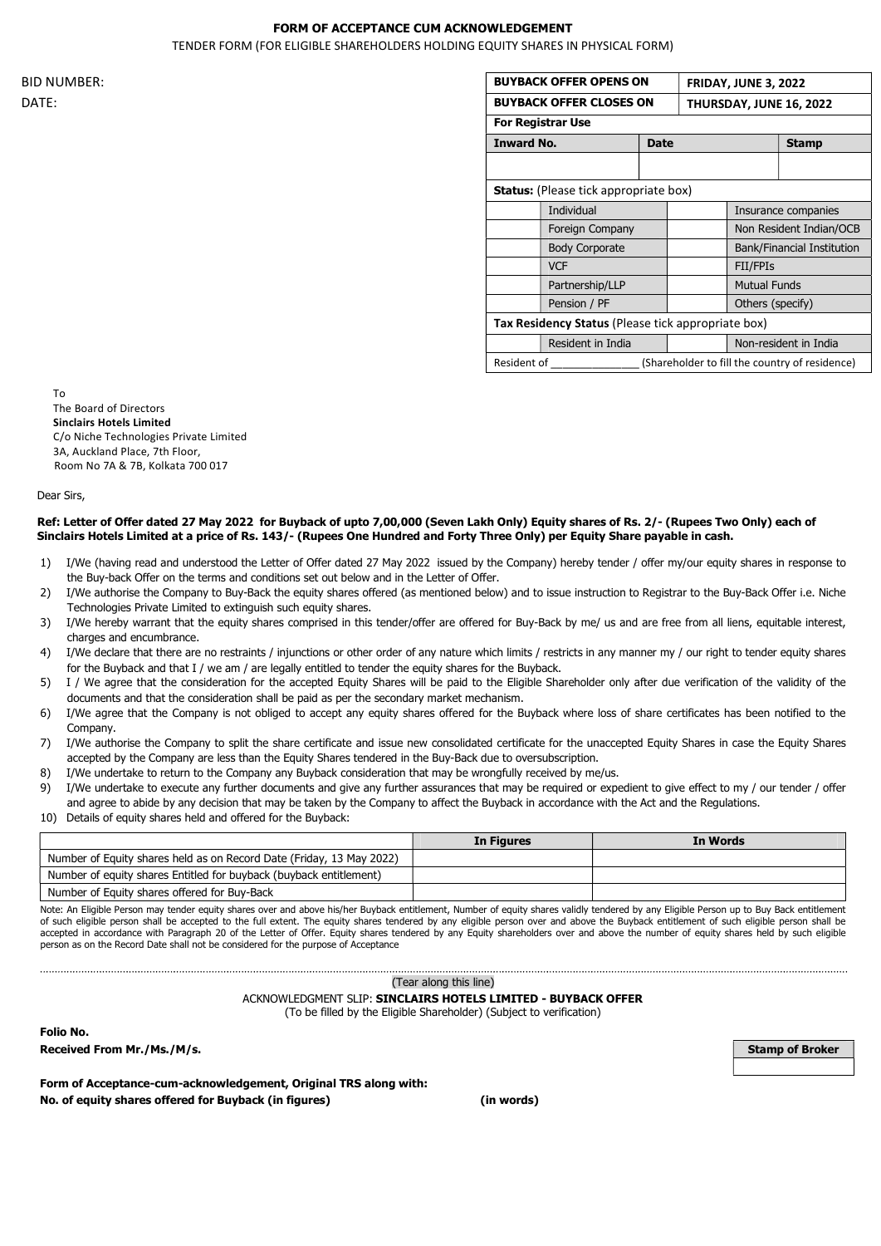## FORM OF ACCEPTANCE CUM ACKNOWLEDGEMENT

TENDER FORM (FOR ELIGIBLE SHAREHOLDERS HOLDING EQUITY SHARES IN PHYSICAL FORM)

|             | <b>BUYBACK OFFER OPENS ON</b>                      |  |                                                | <b>FRIDAY, JUNE 3, 2022</b> |  |
|-------------|----------------------------------------------------|--|------------------------------------------------|-----------------------------|--|
|             | <b>BUYBACK OFFER CLOSES ON</b>                     |  |                                                | THURSDAY, JUNE 16, 2022     |  |
|             | <b>For Registrar Use</b>                           |  |                                                |                             |  |
|             | <b>Inward No.</b><br><b>Date</b>                   |  |                                                | <b>Stamp</b>                |  |
|             |                                                    |  |                                                |                             |  |
|             | <b>Status:</b> (Please tick appropriate box)       |  |                                                |                             |  |
|             | Individual                                         |  |                                                | Insurance companies         |  |
|             | Foreign Company                                    |  |                                                | Non Resident Indian/OCB     |  |
|             | <b>Body Corporate</b>                              |  |                                                | Bank/Financial Institution  |  |
|             | <b>VCF</b>                                         |  | FII/FPIs                                       |                             |  |
|             | Partnership/LLP                                    |  | <b>Mutual Funds</b>                            |                             |  |
|             | Pension / PF                                       |  |                                                | Others (specify)            |  |
|             | Tax Residency Status (Please tick appropriate box) |  |                                                |                             |  |
|             | Resident in India                                  |  |                                                | Non-resident in India       |  |
| Resident of |                                                    |  | (Shareholder to fill the country of residence) |                             |  |

To The Board of Directors Sinclairs Hotels Limited C/o Niche Technologies Private Limited 3A, Auckland Place, 7th Floor, Room No 7A & 7B, Kolkata 700 017

Dear Sirs,

#### Ref: Letter of Offer dated 27 May 2022 for Buyback of upto 7,00,000 (Seven Lakh Only) Equity shares of Rs. 2/- (Rupees Two Only) each of Sinclairs Hotels Limited at a price of Rs. 143/- (Rupees One Hundred and Forty Three Only) per Equity Share payable in cash.

- 1) I/We (having read and understood the Letter of Offer dated 27 May 2022 issued by the Company) hereby tender / offer my/our equity shares in response to the Buy-back Offer on the terms and conditions set out below and in the Letter of Offer.
- 2) I/We authorise the Company to Buy-Back the equity shares offered (as mentioned below) and to issue instruction to Registrar to the Buy-Back Offer i.e. Niche Technologies Private Limited to extinguish such equity shares.
- 3) I/We hereby warrant that the equity shares comprised in this tender/offer are offered for Buy-Back by me/ us and are free from all liens, equitable interest, charges and encumbrance.
- 4) I/We declare that there are no restraints / injunctions or other order of any nature which limits / restricts in any manner my / our right to tender equity shares for the Buyback and that I / we am / are legally entitled to tender the equity shares for the Buyback.
- 5) I / We agree that the consideration for the accepted Equity Shares will be paid to the Eligible Shareholder only after due verification of the validity of the documents and that the consideration shall be paid as per the secondary market mechanism.
- 6) I/We agree that the Company is not obliged to accept any equity shares offered for the Buyback where loss of share certificates has been notified to the Company
- 7) I/We authorise the Company to split the share certificate and issue new consolidated certificate for the unaccepted Equity Shares in case the Equity Shares accepted by the Company are less than the Equity Shares tendered in the Buy-Back due to oversubscription.
- 8) I/We undertake to return to the Company any Buyback consideration that may be wrongfully received by me/us.

- 9) I/We undertake to execute any further documents and give any further assurances that may be required or expedient to give effect to my / our tender / offer and agree to abide by any decision that may be taken by the Company to affect the Buyback in accordance with the Act and the Regulations.
- 10) Details of equity shares held and offered for the Buyback:

|                                                                      | In Figures | In Words |
|----------------------------------------------------------------------|------------|----------|
| Number of Equity shares held as on Record Date (Friday, 13 May 2022) |            |          |
| Number of equity shares Entitled for buyback (buyback entitlement)   |            |          |
| Number of Equity shares offered for Buy-Back                         |            |          |

Note: An Eligible Person may tender equity shares over and above his/her Buyback entitlement, Number of equity shares validly tendered by any Eligible Person up to Buy Back entitlement of such eligible person shall be accepted to the full extent. The equity shares tendered by any eligible person over and above the Buyback entitlement of such eligible person shall be accepted in accordance with Paragraph 20 of the Letter of Offer. Equity shares tendered by any Equity shareholders over and above the number of equity shares held by such eligible person as on the Record Date shall not be considered for the purpose of Acceptance

(Tear along this line)

#### ACKNOWLEDGMENT SLIP: SINCLAIRS HOTELS LIMITED - BUYBACK OFFER

(To be filled by the Eligible Shareholder) (Subject to verification)

Folio No.

Received From Mr./Ms./M/s. Stamp of Broker Number of Broker Number of Broker Number of Broker Number of Broker

Form of Acceptance-cum-acknowledgement, Original TRS along with: No. of equity shares offered for Buyback (in figures) (in words)